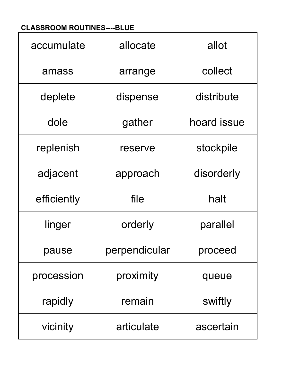## **CLASSROOM ROUTINES----BLUE**

| accumulate  | allocate      | allot       |
|-------------|---------------|-------------|
| amass       | arrange       | collect     |
| deplete     | dispense      | distribute  |
| dole        | gather        | hoard issue |
| replenish   | reserve       | stockpile   |
| adjacent    | approach      | disorderly  |
| efficiently | file          | halt        |
| linger      | orderly       | parallel    |
| pause       | perpendicular | proceed     |
| procession  | proximity     | queue       |
| rapidly     | remain        | swiftly     |
| vicinity    | articulate    | ascertain   |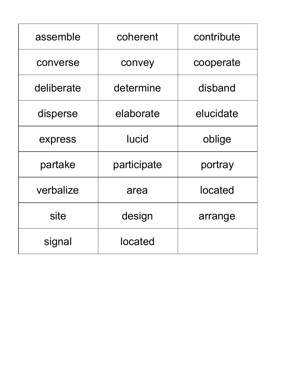| assemble   | coherent     | contribute |
|------------|--------------|------------|
| converse   | convey       | cooperate  |
| deliberate | determine    | disband    |
| disperse   | elaborate    | elucidate  |
| express    | <b>lucid</b> | oblige     |
| partake    | participate  | portray    |
| verbalize  | area         | located    |
| site       | design       | arrange    |
| signal     | located      |            |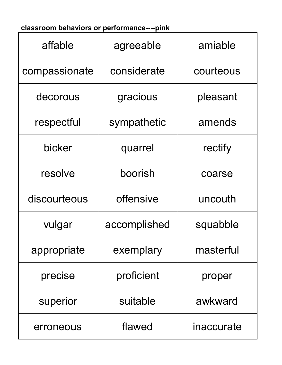## **classroom behaviors or performance----pink**

| affable       | agreeable    | amiable    |
|---------------|--------------|------------|
| compassionate | considerate  | courteous  |
| decorous      | gracious     | pleasant   |
| respectful    | sympathetic  | amends     |
| bicker        | quarrel      | rectify    |
| resolve       | boorish      | coarse     |
| discourteous  | offensive    | uncouth    |
| vulgar        | accomplished | squabble   |
| appropriate   | exemplary    | masterful  |
| precise       | proficient   | proper     |
| superior      | suitable     | awkward    |
| erroneous     | flawed       | inaccurate |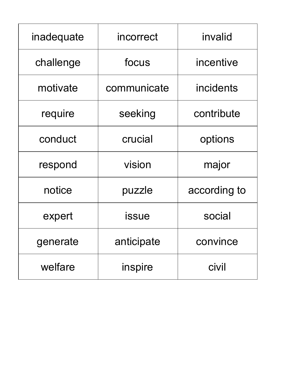| inadequate | incorrect    | invalid      |
|------------|--------------|--------------|
| challenge  | focus        | incentive    |
| motivate   | communicate  | incidents    |
| require    | seeking      | contribute   |
| conduct    | crucial      | options      |
| respond    | vision       | major        |
| notice     | puzzle       | according to |
| expert     | <b>issue</b> | social       |
| generate   | anticipate   | convince     |
| welfare    | inspire      | civil        |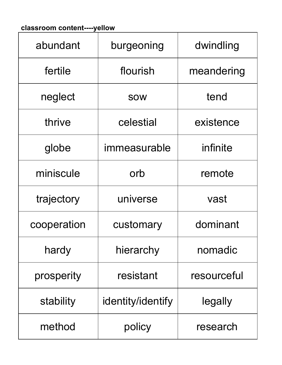## **classroom content----yellow**

| abundant    | burgeoning        | dwindling   |
|-------------|-------------------|-------------|
| fertile     | flourish          | meandering  |
| neglect     | <b>SOW</b>        | tend        |
| thrive      | celestial         | existence   |
| globe       | immeasurable      | infinite    |
| miniscule   | orb               | remote      |
| trajectory  | universe          | vast        |
| cooperation | customary         | dominant    |
| hardy       | hierarchy         | nomadic     |
| prosperity  | resistant         | resourceful |
| stability   | identity/identify | legally     |
| method      | policy            | research    |